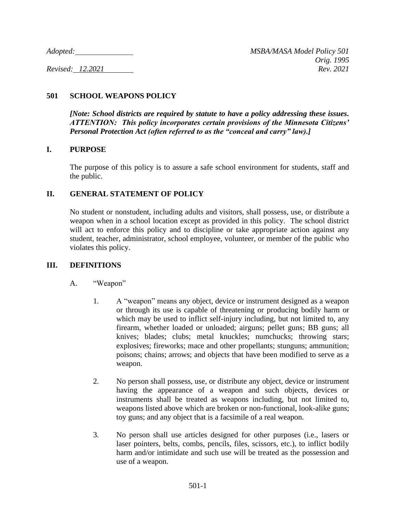# **501 SCHOOL WEAPONS POLICY**

*[Note: School districts are required by statute to have a policy addressing these issues. ATTENTION: This policy incorporates certain provisions of the Minnesota Citizens' Personal Protection Act (often referred to as the "conceal and carry" law).]*

### **I. PURPOSE**

The purpose of this policy is to assure a safe school environment for students, staff and the public.

### **II. GENERAL STATEMENT OF POLICY**

No student or nonstudent, including adults and visitors, shall possess, use, or distribute a weapon when in a school location except as provided in this policy. The school district will act to enforce this policy and to discipline or take appropriate action against any student, teacher, administrator, school employee, volunteer, or member of the public who violates this policy.

#### **III. DEFINITIONS**

- A. "Weapon"
	- 1. A "weapon" means any object, device or instrument designed as a weapon or through its use is capable of threatening or producing bodily harm or which may be used to inflict self-injury including, but not limited to, any firearm, whether loaded or unloaded; airguns; pellet guns; BB guns; all knives; blades; clubs; metal knuckles; numchucks; throwing stars; explosives; fireworks; mace and other propellants; stunguns; ammunition; poisons; chains; arrows; and objects that have been modified to serve as a weapon.
	- 2. No person shall possess, use, or distribute any object, device or instrument having the appearance of a weapon and such objects, devices or instruments shall be treated as weapons including, but not limited to, weapons listed above which are broken or non-functional, look-alike guns; toy guns; and any object that is a facsimile of a real weapon.
	- 3. No person shall use articles designed for other purposes (i.e., lasers or laser pointers, belts, combs, pencils, files, scissors, etc.), to inflict bodily harm and/or intimidate and such use will be treated as the possession and use of a weapon.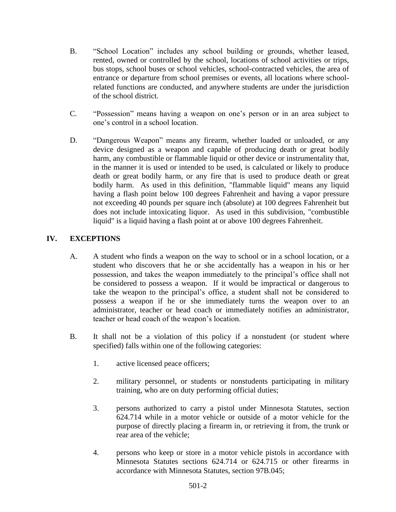- B. "School Location" includes any school building or grounds, whether leased, rented, owned or controlled by the school, locations of school activities or trips, bus stops, school buses or school vehicles, school-contracted vehicles, the area of entrance or departure from school premises or events, all locations where schoolrelated functions are conducted, and anywhere students are under the jurisdiction of the school district.
- C. "Possession" means having a weapon on one's person or in an area subject to one's control in a school location.
- D. "Dangerous Weapon" means any firearm, whether loaded or unloaded, or any device designed as a weapon and capable of producing death or great bodily harm, any combustible or flammable liquid or other device or instrumentality that, in the manner it is used or intended to be used, is calculated or likely to produce death or great bodily harm, or any fire that is used to produce death or great bodily harm. As used in this definition, "flammable liquid" means any liquid having a flash point below 100 degrees Fahrenheit and having a vapor pressure not exceeding 40 pounds per square inch (absolute) at 100 degrees Fahrenheit but does not include intoxicating liquor. As used in this subdivision, "combustible liquid" is a liquid having a flash point at or above 100 degrees Fahrenheit.

# **IV. EXCEPTIONS**

- A. A student who finds a weapon on the way to school or in a school location, or a student who discovers that he or she accidentally has a weapon in his or her possession, and takes the weapon immediately to the principal's office shall not be considered to possess a weapon. If it would be impractical or dangerous to take the weapon to the principal's office, a student shall not be considered to possess a weapon if he or she immediately turns the weapon over to an administrator, teacher or head coach or immediately notifies an administrator, teacher or head coach of the weapon's location.
- B. It shall not be a violation of this policy if a nonstudent (or student where specified) falls within one of the following categories:
	- 1. active licensed peace officers;
	- 2. military personnel, or students or nonstudents participating in military training, who are on duty performing official duties;
	- 3. persons authorized to carry a pistol under Minnesota Statutes, section 624.714 while in a motor vehicle or outside of a motor vehicle for the purpose of directly placing a firearm in, or retrieving it from, the trunk or rear area of the vehicle;
	- 4. persons who keep or store in a motor vehicle pistols in accordance with Minnesota Statutes sections 624.714 or 624.715 or other firearms in accordance with Minnesota Statutes, section 97B.045;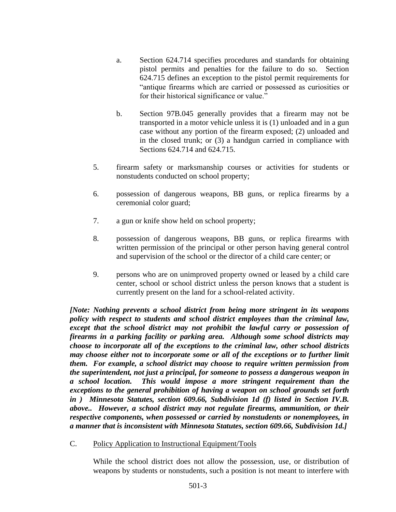- a. Section 624.714 specifies procedures and standards for obtaining pistol permits and penalties for the failure to do so. Section 624.715 defines an exception to the pistol permit requirements for "antique firearms which are carried or possessed as curiosities or for their historical significance or value."
- b. Section 97B.045 generally provides that a firearm may not be transported in a motor vehicle unless it is (1) unloaded and in a gun case without any portion of the firearm exposed; (2) unloaded and in the closed trunk; or (3) a handgun carried in compliance with Sections 624.714 and 624.715.
- 5. firearm safety or marksmanship courses or activities for students or nonstudents conducted on school property;
- 6. possession of dangerous weapons, BB guns, or replica firearms by a ceremonial color guard;
- 7. a gun or knife show held on school property;
- 8. possession of dangerous weapons, BB guns, or replica firearms with written permission of the principal or other person having general control and supervision of the school or the director of a child care center; or
- 9. persons who are on unimproved property owned or leased by a child care center, school or school district unless the person knows that a student is currently present on the land for a school-related activity.

*[Note: Nothing prevents a school district from being more stringent in its weapons policy with respect to students and school district employees than the criminal law, except that the school district may not prohibit the lawful carry or possession of firearms in a parking facility or parking area. Although some school districts may choose to incorporate all of the exceptions to the criminal law, other school districts may choose either not to incorporate some or all of the exceptions or to further limit them. For example, a school district may choose to require written permission from the superintendent, not just a principal, for someone to possess a dangerous weapon in a school location. This would impose a more stringent requirement than the exceptions to the general prohibition of having a weapon on school grounds set forth in ) Minnesota Statutes, section 609.66, Subdivision 1d (f) listed in Section IV.B. above.. However, a school district may not regulate firearms, ammunition, or their respective components, when possessed or carried by nonstudents or nonemployees, in a manner that is inconsistent with Minnesota Statutes, section 609.66, Subdivision 1d.]*

C. Policy Application to Instructional Equipment/Tools

While the school district does not allow the possession, use, or distribution of weapons by students or nonstudents, such a position is not meant to interfere with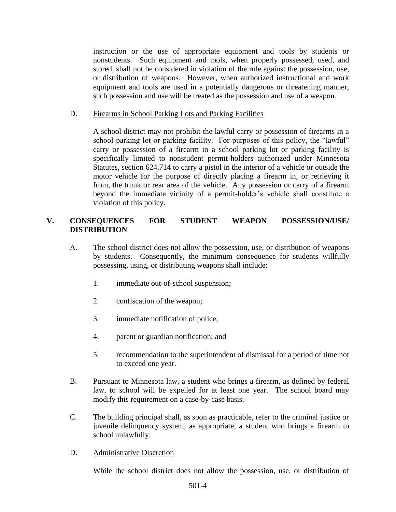instruction or the use of appropriate equipment and tools by students or nonstudents. Such equipment and tools, when properly possessed, used, and stored, shall not be considered in violation of the rule against the possession, use, or distribution of weapons. However, when authorized instructional and work equipment and tools are used in a potentially dangerous or threatening manner, such possession and use will be treated as the possession and use of a weapon.

#### D. Firearms in School Parking Lots and Parking Facilities

A school district may not prohibit the lawful carry or possession of firearms in a school parking lot or parking facility. For purposes of this policy, the "lawful" carry or possession of a firearm in a school parking lot or parking facility is specifically limited to nonstudent permit-holders authorized under Minnesota Statutes, section 624.714 to carry a pistol in the interior of a vehicle or outside the motor vehicle for the purpose of directly placing a firearm in, or retrieving it from, the trunk or rear area of the vehicle. Any possession or carry of a firearm beyond the immediate vicinity of a permit-holder's vehicle shall constitute a violation of this policy.

### **V. CONSEQUENCES FOR STUDENT WEAPON POSSESSION/USE/ DISTRIBUTION**

- A. The school district does not allow the possession, use, or distribution of weapons by students. Consequently, the minimum consequence for students willfully possessing, using, or distributing weapons shall include:
	- 1. immediate out-of-school suspension;
	- 2. confiscation of the weapon;
	- 3. immediate notification of police;
	- 4. parent or guardian notification; and
	- 5. recommendation to the superintendent of dismissal for a period of time not to exceed one year.
- B. Pursuant to Minnesota law, a student who brings a firearm, as defined by federal law, to school will be expelled for at least one year. The school board may modify this requirement on a case-by-case basis.
- C. The building principal shall, as soon as practicable, refer to the criminal justice or juvenile delinquency system, as appropriate, a student who brings a firearm to school unlawfully.
- D. Administrative Discretion

While the school district does not allow the possession, use, or distribution of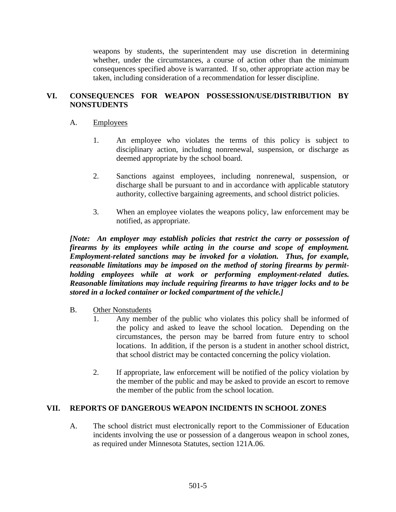weapons by students, the superintendent may use discretion in determining whether, under the circumstances, a course of action other than the minimum consequences specified above is warranted. If so, other appropriate action may be taken, including consideration of a recommendation for lesser discipline.

# **VI. CONSEQUENCES FOR WEAPON POSSESSION/USE/DISTRIBUTION BY NONSTUDENTS**

### A. Employees

- 1. An employee who violates the terms of this policy is subject to disciplinary action, including nonrenewal, suspension, or discharge as deemed appropriate by the school board.
- 2. Sanctions against employees, including nonrenewal, suspension, or discharge shall be pursuant to and in accordance with applicable statutory authority, collective bargaining agreements, and school district policies.
- 3. When an employee violates the weapons policy, law enforcement may be notified, as appropriate.

*[Note: An employer may establish policies that restrict the carry or possession of firearms by its employees while acting in the course and scope of employment. Employment-related sanctions may be invoked for a violation. Thus, for example, reasonable limitations may be imposed on the method of storing firearms by permitholding employees while at work or performing employment-related duties. Reasonable limitations may include requiring firearms to have trigger locks and to be stored in a locked container or locked compartment of the vehicle.]*

#### B. Other Nonstudents

- 1. Any member of the public who violates this policy shall be informed of the policy and asked to leave the school location. Depending on the circumstances, the person may be barred from future entry to school locations. In addition, if the person is a student in another school district, that school district may be contacted concerning the policy violation.
- 2. If appropriate, law enforcement will be notified of the policy violation by the member of the public and may be asked to provide an escort to remove the member of the public from the school location.

#### **VII. REPORTS OF DANGEROUS WEAPON INCIDENTS IN SCHOOL ZONES**

A. The school district must electronically report to the Commissioner of Education incidents involving the use or possession of a dangerous weapon in school zones, as required under Minnesota Statutes, section 121A.06.